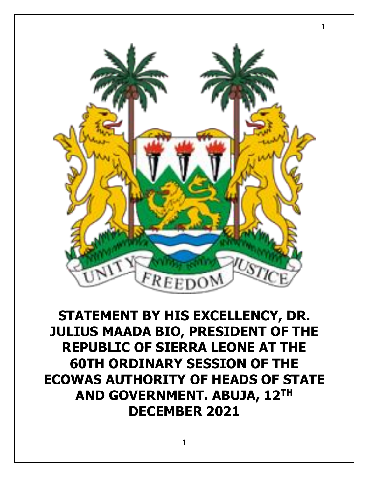

**STATEMENT BY HIS EXCELLENCY, DR. JULIUS MAADA BIO, PRESIDENT OF THE REPUBLIC OF SIERRA LEONE AT THE 60TH ORDINARY SESSION OF THE ECOWAS AUTHORITY OF HEADS OF STATE AND GOVERNMENT. ABUJA, 12TH DECEMBER 2021**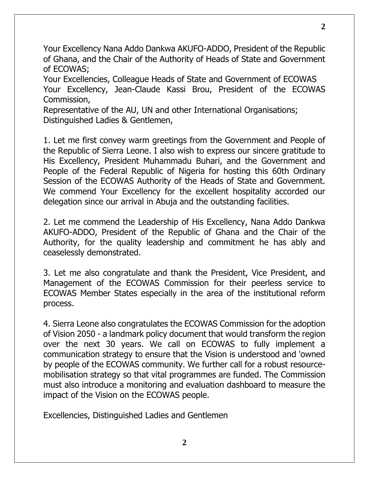Your Excellency Nana Addo Dankwa AKUFO-ADDO, President of the Republic of Ghana, and the Chair of the Authority of Heads of State and Government of ECOWAS;

Your Excellencies, Colleague Heads of State and Government of ECOWAS Your Excellency, Jean-Claude Kassi Brou, President of the ECOWAS Commission,

Representative of the AU, UN and other International Organisations; Distinguished Ladies & Gentlemen,

1. Let me first convey warm greetings from the Government and People of the Republic of Sierra Leone. I also wish to express our sincere gratitude to His Excellency, President Muhammadu Buhari, and the Government and People of the Federal Republic of Nigeria for hosting this 60th Ordinary Session of the ECOWAS Authority of the Heads of State and Government. We commend Your Excellency for the excellent hospitality accorded our delegation since our arrival in Abuja and the outstanding facilities.

2. Let me commend the Leadership of His Excellency, Nana Addo Dankwa AKUFO-ADDO, President of the Republic of Ghana and the Chair of the Authority, for the quality leadership and commitment he has ably and ceaselessly demonstrated.

3. Let me also congratulate and thank the President, Vice President, and Management of the ECOWAS Commission for their peerless service to ECOWAS Member States especially in the area of the institutional reform process.

4. Sierra Leone also congratulates the ECOWAS Commission for the adoption of Vision 2050 - a landmark policy document that would transform the region over the next 30 years. We call on ECOWAS to fully implement a communication strategy to ensure that the Vision is understood and 'owned by people of the ECOWAS community. We further call for a robust resourcemobilisation strategy so that vital programmes are funded. The Commission must also introduce a monitoring and evaluation dashboard to measure the impact of the Vision on the ECOWAS people.

Excellencies, Distinguished Ladies and Gentlemen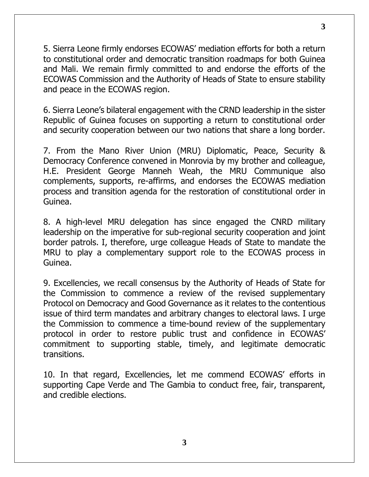5. Sierra Leone firmly endorses ECOWAS' mediation efforts for both a return to constitutional order and democratic transition roadmaps for both Guinea and Mali. We remain firmly committed to and endorse the efforts of the ECOWAS Commission and the Authority of Heads of State to ensure stability and peace in the ECOWAS region.

6. Sierra Leone's bilateral engagement with the CRND leadership in the sister Republic of Guinea focuses on supporting a return to constitutional order and security cooperation between our two nations that share a long border.

7. From the Mano River Union (MRU) Diplomatic, Peace, Security & Democracy Conference convened in Monrovia by my brother and colleague, H.E. President George Manneh Weah, the MRU Communique also complements, supports, re-affirms, and endorses the ECOWAS mediation process and transition agenda for the restoration of constitutional order in Guinea.

8. A high-level MRU delegation has since engaged the CNRD military leadership on the imperative for sub-regional security cooperation and joint border patrols. I, therefore, urge colleague Heads of State to mandate the MRU to play a complementary support role to the ECOWAS process in Guinea.

9. Excellencies, we recall consensus by the Authority of Heads of State for the Commission to commence a review of the revised supplementary Protocol on Democracy and Good Governance as it relates to the contentious issue of third term mandates and arbitrary changes to electoral laws. I urge the Commission to commence a time-bound review of the supplementary protocol in order to restore public trust and confidence in ECOWAS' commitment to supporting stable, timely, and legitimate democratic transitions.

10. In that regard, Excellencies, let me commend ECOWAS' efforts in supporting Cape Verde and The Gambia to conduct free, fair, transparent, and credible elections.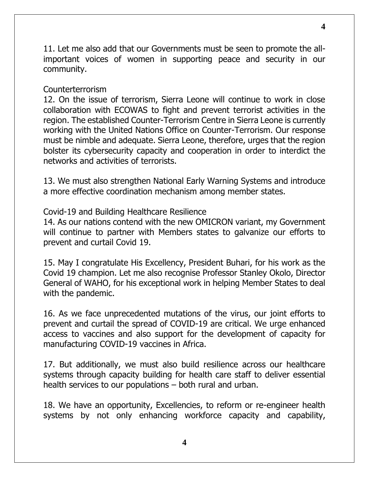11. Let me also add that our Governments must be seen to promote the allimportant voices of women in supporting peace and security in our community.

## Counterterrorism

12. On the issue of terrorism, Sierra Leone will continue to work in close collaboration with ECOWAS to fight and prevent terrorist activities in the region. The established Counter-Terrorism Centre in Sierra Leone is currently working with the United Nations Office on Counter-Terrorism. Our response must be nimble and adequate. Sierra Leone, therefore, urges that the region bolster its cybersecurity capacity and cooperation in order to interdict the networks and activities of terrorists.

13. We must also strengthen National Early Warning Systems and introduce a more effective coordination mechanism among member states.

Covid-19 and Building Healthcare Resilience

14. As our nations contend with the new OMICRON variant, my Government will continue to partner with Members states to galvanize our efforts to prevent and curtail Covid 19.

15. May I congratulate His Excellency, President Buhari, for his work as the Covid 19 champion. Let me also recognise Professor Stanley Okolo, Director General of WAHO, for his exceptional work in helping Member States to deal with the pandemic.

16. As we face unprecedented mutations of the virus, our joint efforts to prevent and curtail the spread of COVID-19 are critical. We urge enhanced access to vaccines and also support for the development of capacity for manufacturing COVID-19 vaccines in Africa.

17. But additionally, we must also build resilience across our healthcare systems through capacity building for health care staff to deliver essential health services to our populations – both rural and urban.

18. We have an opportunity, Excellencies, to reform or re-engineer health systems by not only enhancing workforce capacity and capability,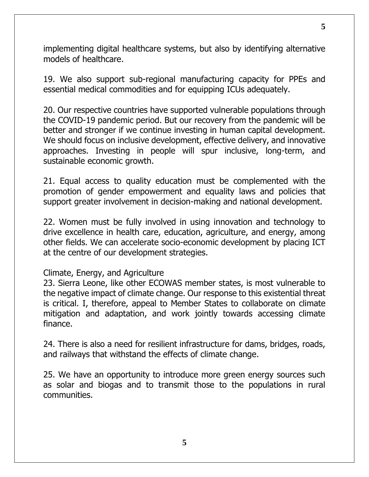implementing digital healthcare systems, but also by identifying alternative models of healthcare.

19. We also support sub-regional manufacturing capacity for PPEs and essential medical commodities and for equipping ICUs adequately.

20. Our respective countries have supported vulnerable populations through the COVID-19 pandemic period. But our recovery from the pandemic will be better and stronger if we continue investing in human capital development. We should focus on inclusive development, effective delivery, and innovative approaches. Investing in people will spur inclusive, long-term, and sustainable economic growth.

21. Equal access to quality education must be complemented with the promotion of gender empowerment and equality laws and policies that support greater involvement in decision-making and national development.

22. Women must be fully involved in using innovation and technology to drive excellence in health care, education, agriculture, and energy, among other fields. We can accelerate socio-economic development by placing ICT at the centre of our development strategies.

## Climate, Energy, and Agriculture

23. Sierra Leone, like other ECOWAS member states, is most vulnerable to the negative impact of climate change. Our response to this existential threat is critical. I, therefore, appeal to Member States to collaborate on climate mitigation and adaptation, and work jointly towards accessing climate finance.

24. There is also a need for resilient infrastructure for dams, bridges, roads, and railways that withstand the effects of climate change.

25. We have an opportunity to introduce more green energy sources such as solar and biogas and to transmit those to the populations in rural communities.